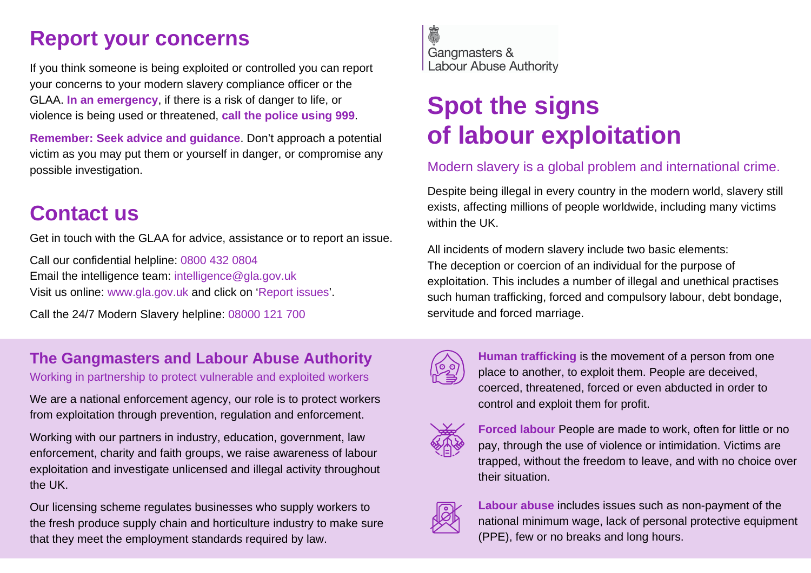## **Report your concerns**

If you think someone is being exploited or controlled you can report your concerns to your modern slavery compliance officer or the GLAA. **In an emergency**, if there is a risk of danger to life, or violence is being used or threatened, **call the police using 999**.

**Remember: Seek advice and guidance**. Don't approach a potential victim as you may put them or yourself in danger, or compromise any possible investigation.

## **Contact us**

Get in touch with the GLAA for advice, assistance or to report an issue.

Call our confidential helpline: 0800 432 0804 Email the intelligence team: intelligence@gla.gov.uk Visit us online: www.gla.gov.uk and click on 'Report issues'.

Call the 24/7 Modern Slavery helpline: 08000 121 700

## **The Gangmasters and Labour Abuse Authority**

Working in partnership to protect vulnerable and exploited workers

We are a national enforcement agency, our role is to protect workers from exploitation through prevention, regulation and enforcement.

Working with our partners in industry, education, government, law enforcement, charity and faith groups, we raise awareness of labour exploitation and investigate unlicensed and illegal activity throughout the UK.

Our licensing scheme regulates businesses who supply workers to the fresh produce supply chain and horticulture industry to make sure that they meet the employment standards required by law.



# **Spot the signs of labour exploitation**

### Modern slavery is a global problem and international crime.

Despite being illegal in every country in the modern world, slavery still exists, affecting millions of people worldwide, including many victims within the UK.

All incidents of modern slavery include two basic elements: The deception or coercion of an individual for the purpose of exploitation. This includes a number of illegal and unethical practises such human trafficking, forced and compulsory labour, debt bondage, servitude and forced marriage.



**Human trafficking** is the movement of a person from one place to another, to exploit them. People are deceived, coerced, threatened, forced or even abducted in order to control and exploit them for profit.



**Forced labour** People are made to work, often for little or no pay, through the use of violence or intimidation. Victims are trapped, without the freedom to leave, and with no choice over their situation.



**Labour abuse** includes issues such as non-payment of the national minimum wage, lack of personal protective equipment (PPE), few or no breaks and long hours.